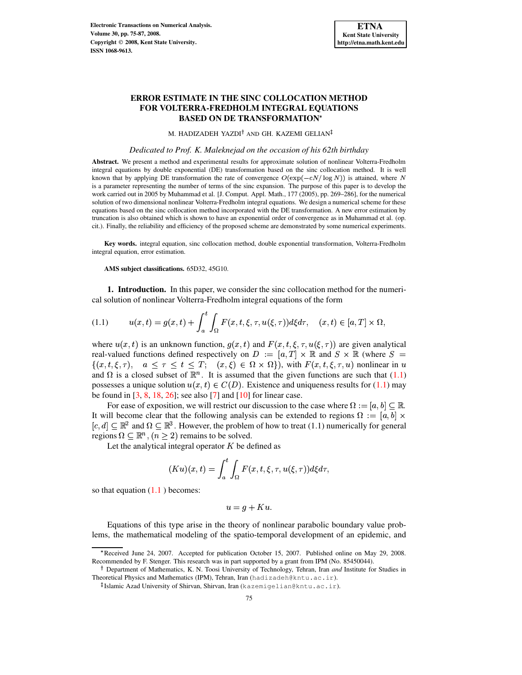## **ERROR ESTIMATE IN THE SINC COLLOCATION METHOD FOR VOLTERRA-FREDHOLM INTEGRAL EQUATIONS BASED ON DE TRANSFORMATION**

M. HADIZADEH YAZDI<sup>†</sup> AND GH. KAZEMI GELIAN

#### *Dedicated to Prof. K. Maleknejad on the occasion of his 62th birthday*

**Abstract.** We present a method and experimental results for approximate solution of nonlinear Volterra-Fredholm integral equations by double exponential (DE) transformation based on the sinc collocation method. It is well known that by applying DE transformation the rate of convergence  $O(\exp(-cN/\log N))$  is attained, where N is a parameter representing the number of terms of the sinc expansion. The purpose of this paper is to develop the work carried out in 2005 by Muhammad et al. [J. Comput. Appl. Math., 177 (2005), pp. 269–286], for the numerical solution of two dimensional nonlinear Volterra-Fredholm integral equations. We design a numerical scheme for these equations based on the sinc collocation method incorporated with the DE transformation. A new error estimation by truncation is also obtained which is shown to have an exponential order of convergence as in Muhammad et al. (op. cit.). Finally, the reliability and efficiency of the proposed scheme are demonstrated by some numerical experiments.

**Key words.** integral equation, sinc collocation method, double exponential transformation, Volterra-Fredholm integral equation, error estimation.

<span id="page-0-0"></span>**AMS subject classifications.** 65D32, 45G10.

**1. Introduction.** In this paper, we consider the sinc collocation method for the numerical solution of nonlinear Volterra-Fredholm integral equations of the form

$$
(1.1) \t u(x,t) = g(x,t) + \int_a^t \int_{\Omega} F(x,t,\xi,\tau,u(\xi,\tau))d\xi d\tau, \quad (x,t) \in [a,T] \times \Omega,
$$

where  $u(x, t)$  is an unknown function,  $g(x, t)$  and  $F(x, t, \xi, \tau, u(\xi, \tau))$  are given analytical real-valued functions defined respectively on  $D := [a, T] \times \mathbb{R}$  and  $S \times \mathbb{R}$  (where  $S =$ For valued functions defined respectively on  $D := [a, 1] \wedge \mathbb{R}$  and  $D \wedge \mathbb{R}$  (where  $D =$ <br>{ $(x, t, \xi, \tau)$ ,  $a \le \tau \le t \le T$ ;  $(x, \xi) \in \Omega \times \Omega$ }), with  $F(x, t, \xi, \tau, u)$  nonlinear in u and  $\Omega$  is a closed subset of  $\mathbb{R}^n$ . It is assumed that the given functions are such that [\(1.1\)](#page-0-0) possesses a unique solution  $u(x, t) \in C(D)$ . Existence and uniqueness results for [\(1.1\)](#page-0-0) may be found in  $[3, 8, 18, 26]$  $[3, 8, 18, 26]$  $[3, 8, 18, 26]$  $[3, 8, 18, 26]$  $[3, 8, 18, 26]$  $[3, 8, 18, 26]$  $[3, 8, 18, 26]$ ; see also  $[7]$  and  $[10]$  for linear case.

For ease of exposition, we will restrict our discussion to the case where  $\Omega := [a, b] \subset \mathbb{R}$ . It will become clear that the following analysis can be extended to regions  $\Omega := [a, b] \times$  $[c,d] \subseteq \mathbb{R}^2$  and  $\Omega \subseteq \mathbb{R}^3$ . However, the problem of how to treat (1.1) numerically for general regions  $\Omega \subset \mathbb{R}^n$ ,  $(n > 2)$  remains to be solved.

Let the analytical integral operator  $K$  be defined as

$$
(Ku)(x,t) = \int_a^t \int_{\Omega} F(x,t,\xi,\tau,u(\xi,\tau))d\xi d\tau,
$$

so that equation  $(1.1)$  $(1.1)$  becomes:

$$
u = g + Ku.
$$

Equations of this type arise in the theory of nonlinear parabolic boundary value problems, the mathematical modeling of the spatio-temporal development of an epidemic, and

Received June 24, 2007. Accepted for publication October 15, 2007. Published online on May 29, 2008. Recommended by F. Stenger. This research was in part supported by a grant from IPM (No. 85450044).

Department of Mathematics, K. N. Toosi University of Technology, Tehran, Iran *and* Institute for Studies in Theoretical Physics and Mathematics (IPM), Tehran, Iran (hadizadeh@kntu.ac.ir).

<sup>-</sup> Islamic Azad University of Shirvan, Shirvan, Iran (kazemigelian@kntu.ac.ir).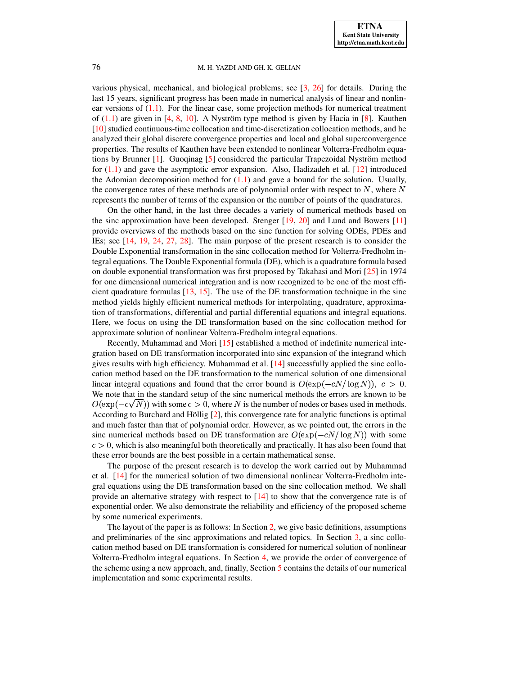various physical, mechanical, and biological problems; see [\[3,](#page-11-0) [26\]](#page-12-1) for details. During the last 15 years, significant progress has been made in numerical analysis of linear and nonlinear versions of  $(1.1)$ . For the linear case, some projection methods for numerical treatment of  $(1.1)$  are given in [\[4,](#page-11-4) [8,](#page-11-1) [10\]](#page-11-3). A Nyström type method is given by Hacia in [\[8\]](#page-11-1). Kauthen [\[10\]](#page-11-3) studied continuous-time collocation and time-discretization collocation methods, and he analyzed their global discrete convergence properties and local and global superconvergence properties. The results of Kauthen have been extended to nonlinear Volterra-Fredholm equations by Brunner  $[1]$ . Guoginag  $[5]$  considered the particular Trapezoidal Nyström method for  $(1.1)$  and gave the asymptotic error expansion. Also, Hadizadeh et al. [\[12\]](#page-11-7) introduced the Adomian decomposition method for  $(1.1)$  and gave a bound for the solution. Usually, the convergence rates of these methods are of polynomial order with respect to  $N$ , where  $N$ represents the number of terms of the expansion or the number of points of the quadratures.

On the other hand, in the last three decades a variety of numerical methods based on the sinc approximation have been developed. Stenger [\[19,](#page-12-2) [20\]](#page-12-3) and Lund and Bowers [\[11\]](#page-11-8) provide overviews of the methods based on the sinc function for solving ODEs, PDEs and IEs; see [\[14,](#page-12-4) [19,](#page-12-2) [24,](#page-12-5) [27,](#page-12-6) [28\]](#page-12-7). The main purpose of the present research is to consider the Double Exponential transformation in the sinc collocation method for Volterra-Fredholm integral equations. The Double Exponential formula (DE), which is a quadrature formula based on double exponential transformation was first proposed by Takahasi and Mori [\[25\]](#page-12-8) in 1974 for one dimensional numerical integration and is now recognized to be one of the most efficient quadrature formulas [\[13,](#page-12-9) [15\]](#page-12-10). The use of the DE transformation technique in the sinc method yields highly efficient numerical methods for interpolating, quadrature, approximation of transformations, differential and partial differential equations and integral equations. Here, we focus on using the DE transformation based on the sinc collocation method for approximate solution of nonlinear Volterra-Fredholm integral equations.

Recently, Muhammad and Mori [\[15\]](#page-12-10) established a method of indefinite numerical integration based on DE transformation incorporated into sinc expansion of the integrand which gives results with high efficiency. Muhammad et al. [\[14\]](#page-12-4) successfully applied the sinc collocation method based on the DE transformation to the numerical solution of one dimensional linear integral equations and found that the error bound is  $O(\exp(-cN/\log N))$ ,  $c > 0$ . We note that in the standard setup of the sinc numerical methods the errors are known to be  $O(\exp(-c\sqrt{N}))$  with some  $c>0$ , where N is the number of nodes or bases used in methods. According to Burchard and Höllig  $[2]$ , this convergence rate for analytic functions is optimal and much faster than that of polynomial order. However, as we pointed out, the errors in the sinc numerical methods based on DE transformation are  $O(\exp(-cN/\log N))$  with some  $c > 0$ , which is also meaningful both theoretically and practically. It has also been found that these error bounds are the best possible in a certain mathematical sense.

The purpose of the present research is to develop the work carried out by Muhammad et al. [\[14\]](#page-12-4) for the numerical solution of two dimensional nonlinear Volterra-Fredholm integral equations using the DE transformation based on the sinc collocation method. We shall provide an alternative strategy with respect to [\[14\]](#page-12-4) to show that the convergence rate is of exponential order. We also demonstrate the reliability and efficiency of the proposed scheme by some numerical experiments.

<span id="page-1-0"></span>The layout of the paper is as follows: In Section [2,](#page-1-0) we give basic definitions, assumptions and preliminaries of the sinc approximations and related topics. In Section [3,](#page-3-0) a sinc collocation method based on DE transformation is considered for numerical solution of nonlinear Volterra-Fredholm integral equations. In Section [4,](#page-5-0) we provide the order of convergence of the scheme using a new approach, and, finally, Section [5](#page-8-0) contains the details of our numerical implementation and some experimental results.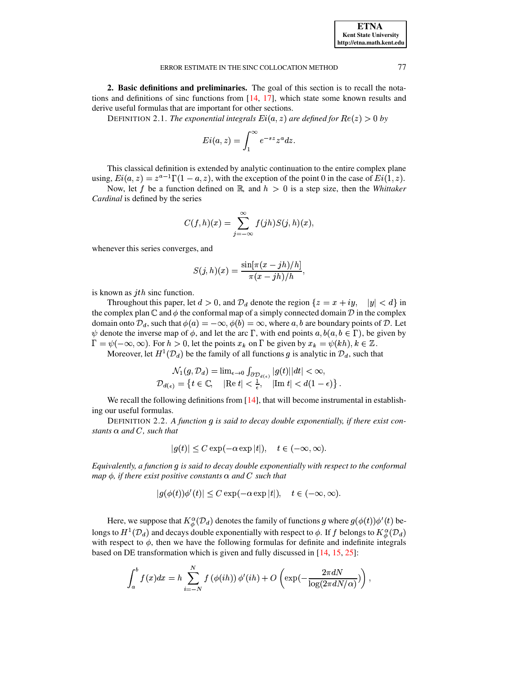|  |  | ERROR ESTIMATE IN THE SINC COLLOCATION METHOD |
|--|--|-----------------------------------------------|
|  |  |                                               |

2. Basic definitions and preliminaries. The goal of this section is to recall the notations and definitions of sinc functions from  $[14, 17]$ , which state some known results and

derive useful formulas that are important for other sections.

DEFINITION 2.1. The exponential integrals  $Ei(a, z)$  are defined for  $Re(z) > 0$  by

$$
Ei(a,z) = \int_1^\infty e^{-sz} z^a dz.
$$

This classical definition is extended by analytic continuation to the entire complex plane using,  $Ei(a, z) = z^{a-1}\Gamma(1 - a, z)$ , with the exception of the point 0 in the case of  $Ei(1, z)$ .

Now, let f be a function defined on  $\mathbb{R}$ , and  $h > 0$  is a step size, then the Whittaker Cardinal is defined by the series

$$
C(f,h)(x) = \sum_{j=-\infty}^{\infty} f(jh)S(j,h)(x),
$$

whenever this series converges, and

$$
S(j,h)(x)=\frac{\sin[\pi(x-jh)/h]}{\pi(x-jh)/h},
$$

is known as  $ith$  sinc function.

Throughout this paper, let  $d > 0$ , and  $\mathcal{D}_d$  denote the region  $\{z = x + iy, \quad |y| < d\}$  in the complex plan  $\mathbb C$  and  $\phi$  the conformal map of a simply connected domain  $\mathcal D$  in the complex domain onto  $\mathcal{D}_d$ , such that  $\phi(a) = -\infty$ ,  $\phi(b) = \infty$ , where a, b are boundary points of  $\mathcal{D}$ . Let  $\psi$  denote the inverse map of  $\phi$ , and let the arc  $\Gamma$ , with end points  $a, b(a, b \in \Gamma)$ , be given by  $\Gamma = \psi(-\infty, \infty)$ . For  $h > 0$ , let the points  $x_k$  on  $\Gamma$  be given by  $x_k = \psi(kh)$ ,  $k \in \mathbb{Z}$ .

Moreover, let  $H^1(\mathcal{D}_d)$  be the family of all functions g is analytic in  $\mathcal{D}_d$ , such that

$$
\mathcal{N}_1(g, \mathcal{D}_d) = \lim_{\epsilon \to 0} \int_{\partial \mathcal{D}_{d(\epsilon)}} |g(t)| |dt| < \infty,
$$
\n
$$
\mathcal{D}_{d(\epsilon)} = \left\{ t \in \mathbb{C}, \quad |\text{Re } t| < \frac{1}{\epsilon}, \quad |\text{Im } t| < d(1 - \epsilon) \right\}.
$$

We recall the following definitions from  $[14]$ , that will become instrumental in establishing our useful formulas.

<span id="page-2-0"></span>DEFINITION 2.2. A function g is said to decay double exponentially, if there exist constants  $\alpha$  and C, such that

$$
|g(t)| \le C \exp(-\alpha \exp|t|), \quad t \in (-\infty, \infty).
$$

Equivalently, a function q is said to decay double exponentially with respect to the conformal map  $\phi$ , if there exist positive constants  $\alpha$  and C such that

$$
|g(\phi(t))\phi'(t)| \le C \exp(-\alpha \exp|t|), \quad t \in (-\infty, \infty).
$$

Here, we suppose that  $K^{\alpha}_{\phi}(\mathcal{D}_d)$  denotes the family of functions g where  $g(\phi(t))\phi'(t)$  belongs to  $H^1(\mathcal{D}_d)$  and decays double exponentially with respect to  $\phi$ . If f belongs to  $K^{\alpha}_{\phi}(\mathcal{D}_d)$ with respect to  $\phi$ , then we have the following formulas for definite and indefinite integrals based on DE transformation which is given and fully discussed in  $[14, 15, 25]$ :

$$
\int_a^b f(x)dx = h \sum_{i=-N}^N f(\phi(ih)) \phi'(ih) + O\left(\exp(-\frac{2\pi dN}{\log(2\pi dN/\alpha)})\right),
$$

77

**ETNA Kent State University** http://etna.math.kent.edu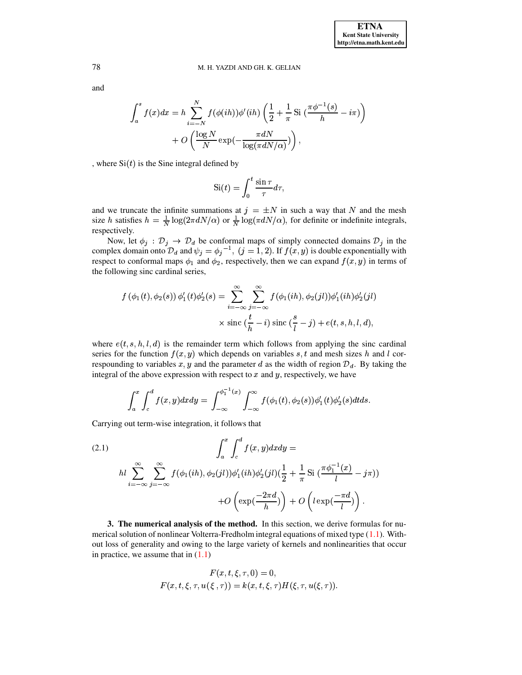and

$$
\int_{a}^{s} f(x)dx = h \sum_{i=-N}^{N} f(\phi(ih))\phi'(ih) \left(\frac{1}{2} + \frac{1}{\pi} Si\left(\frac{\pi\phi^{-1}(s)}{h} - i\pi\right)\right) + O\left(\frac{\log N}{N}\exp\left(-\frac{\pi dN}{\log(\pi dN/\alpha)}\right)\right),
$$

, where  $Si(t)$  is the Sine integral defined by

$$
Si(t) = \int_0^t \frac{\sin \tau}{\tau} d\tau,
$$

and we truncate the infinite summations at  $j = \pm N$  in such a way that N and the mesh size h satisfies  $h = \frac{1}{N} \log(2\pi dN/\alpha)$  or  $\frac{1}{N} \log(\pi dN/\alpha)$ , for definite or indefinite integrals, respectively.

Now, let  $\phi_j$ :  $\mathcal{D}_j \to \mathcal{D}_d$  be conformal maps of simply connected domains  $\mathcal{D}_j$  in the complex domain onto  $\mathcal{D}_d$  and  $\psi_j = \phi_j^{-1}$ ,  $(j = 1, 2)$ . If  $f(x, y)$  is double exponentially with respect to conformal maps  $\phi_1$  and  $\phi_2$ , respectively, then we can expand  $f(x, y)$  in terms of the following sinc cardinal series,

$$
f(\phi_1(t), \phi_2(s)) \phi_1'(t) \phi_2'(s) = \sum_{i=-\infty}^{\infty} \sum_{j=-\infty}^{\infty} f(\phi_1(ih), \phi_2(jl)) \phi_1'(ih) \phi_2'(jl)
$$

$$
\times \operatorname{sinc}(\frac{t}{h} - i) \operatorname{sinc}(\frac{s}{l} - j) + e(t, s, h, l, d),
$$

where  $e(t, s, h, l, d)$  is the remainder term which follows from applying the sinc cardinal series for the function  $f(x, y)$  which depends on variables s, t and mesh sizes h and l correspounding to variables  $x, y$  and the parameter d as the width of region  $\mathcal{D}_d$ . By taking the integral of the above expression with respect to  $x$  and  $y$ , respectively, we have

<span id="page-3-1"></span>
$$
\int_{a}^{x} \int_{c}^{d} f(x, y) dx dy = \int_{-\infty}^{\phi_{1}^{-1}(x)} \int_{-\infty}^{\infty} f(\phi_{1}(t), \phi_{2}(s)) \phi_{1}'(t) \phi_{2}'(s) dt ds.
$$

Carrying out term-wise integration, it follows that

(2.1)  
\n
$$
\int_a^x \int_c^d f(x, y) dx dy =
$$
\n
$$
h l \sum_{i=-\infty}^{\infty} \sum_{j=-\infty}^{\infty} f(\phi_1(ih), \phi_2(jl)) \phi_1'(ih) \phi_2'(jl) (\frac{1}{2} + \frac{1}{\pi} \operatorname{Si} (\frac{\pi \phi_1^{-1}(x)}{l} - j\pi))
$$
\n
$$
+ O\left(\exp(\frac{-2\pi d}{h})\right) + O\left(l \exp(\frac{-\pi d}{l})\right).
$$

<span id="page-3-0"></span>3. The numerical analysis of the method. In this section, we derive formulas for numerical solution of nonlinear Volterra-Fredholm integral equations of mixed type  $(1.1)$ . Without loss of generality and owing to the large variety of kernels and nonlinearities that occur in practice, we assume that in  $(1.1)$ 

$$
F(x, t, \xi, \tau, 0) = 0,
$$
  

$$
F(x, t, \xi, \tau, u(\xi, \tau)) = k(x, t, \xi, \tau)H(\xi, \tau, u(\xi, \tau)).
$$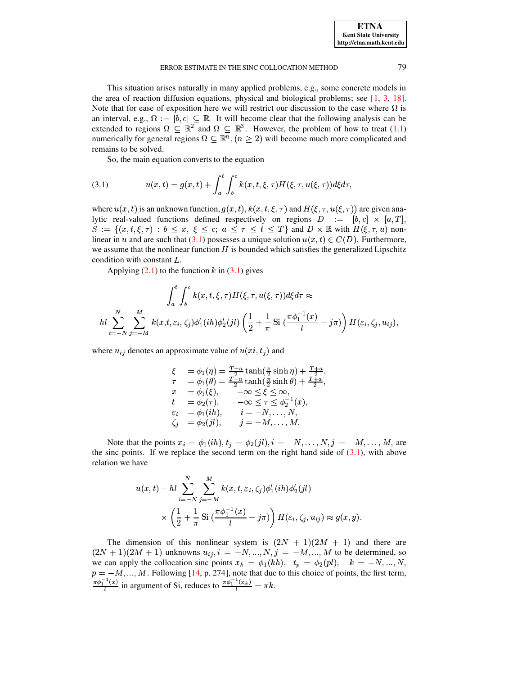#### ERROR ESTIMATE IN THE SINC COLLOCATION METHOD

This situation arises naturally in many applied problems, e.g., some concrete models in the area of reaction diffusion equations, physical and biological problems; see  $[1, 3, 18]$ . Note that for ease of exposition here we will restrict our discussion to the case where  $\Omega$  is an interval, e.g.,  $\Omega := [b, c] \subseteq \mathbb{R}$ . It will become clear that the following analysis can be extended to regions  $\Omega \subseteq \mathbb{R}^2$  and  $\Omega \subseteq \mathbb{R}^3$ . However, the problem of how to treat (1.1) numerically for general regions  $\Omega \subseteq \mathbb{R}^n$ ,  $(n \ge 2)$  will become much more complicated and remains to be solved.

<span id="page-4-0"></span>So, the main equation converts to the equation

(3.1) 
$$
u(x,t) = g(x,t) + \int_a^t \int_b^c k(x,t,\xi,\tau)H(\xi,\tau,u(\xi,\tau))d\xi d\tau
$$

where  $u(x, t)$  is an unknown function,  $g(x, t)$ ,  $k(x, t, \xi, \tau)$  and  $H(\xi, \tau, u(\xi, \tau))$  are given analytic real-valued functions defined respectively on regions  $D := [b, c] \times [a, T]$ ,  $S := \{(x, t, \xi, \tau) : b \leq x, \xi \leq c; a \leq \tau \leq t \leq T\}$  and  $D \times \mathbb{R}$  with  $H(\xi, \tau, u)$  nonlinear in u and are such that (3.1) possesses a unique solution  $u(x,t) \in C(D)$ . Furthermore, we assume that the nonlinear function  $H$  is bounded which satisfies the generalized Lipschitz condition with constant L.

Applying  $(2.1)$  to the function k in  $(3.1)$  gives

$$
\int_{a}^{t} \int_{b}^{c} k(x, t, \xi, \tau) H(\xi, \tau, u(\xi, \tau)) d\xi d\tau \approx
$$
  

$$
hl \sum_{i=-N}^{N} \sum_{j=-M}^{M} k(x, t, \varepsilon_i, \zeta_j) \phi_1'(ih) \phi_2'(jl) \left(\frac{1}{2} + \frac{1}{\pi} \operatorname{Si}\left(\frac{\pi \phi_1^{-1}(x)}{l} - j\pi\right)\right) H(\varepsilon_i, \zeta_j, u_{ij}),
$$

where  $u_{ij}$  denotes an approximate value of  $u(x_i, t_j)$  and

$$
\xi = \phi_1(\eta) = \frac{T-a}{2} \tanh(\frac{\pi}{2} \sinh \eta) + \frac{T+a}{2},
$$
  
\n
$$
\tau = \phi_1(\theta) = \frac{T-a}{2} \tanh(\frac{\pi}{2} \sinh \theta) + \frac{T+a}{2},
$$
  
\n
$$
x = \phi_1(\xi), \quad -\infty \le \xi \le \infty,
$$
  
\n
$$
t = \phi_2(\tau), \quad -\infty \le \tau \le \phi_2^{-1}(x),
$$
  
\n
$$
\varepsilon_i = \phi_1(ih), \quad i = -N, \dots, N,
$$
  
\n
$$
\zeta_j = \phi_2(jl), \quad j = -M, \dots, M.
$$

Note that the points  $x_i = \phi_1(ih), t_j = \phi_2(jl), i = -N, \dots, N, j = -M, \dots, M$ , are the sinc points. If we replace the second term on the right hand side of  $(3.1)$ , with above relation we have

$$
u(x,t) - hl \sum_{i=-N}^{N} \sum_{j=-M}^{M} k(x,t,\varepsilon_i,\zeta_j) \phi_1'(ih) \phi_2'(jl)
$$
  
 
$$
\times \left(\frac{1}{2} + \frac{1}{\pi} \operatorname{Si}\left(\frac{\pi \phi_1^{-1}(x)}{l} - j\pi\right)\right) H(\varepsilon_i,\zeta_j, u_{ij}) \approx g(x,y).
$$

The dimension of this nonlinear system is  $(2N + 1)(2M + 1)$  and there are  $(2N + 1)(2M + 1)$  unknowns  $u_{ij}, i = -N, ..., N, j = -M, ..., M$  to be determined, so we can apply the collocation sinc points  $x_k = \phi_1(kh)$ ,  $t_p = \phi_2(pl)$ ,  $k = -N, ..., N$ ,  $p = -M, ..., M$ . Following [14, p. 274], note that due to this choice of points, the first term,  $\frac{\pi \phi_1^{-1}(x)}{l}$  in argument of Si, reduces to  $\frac{\pi \phi_1^{-1}(x_k)}{l} = \pi k$ .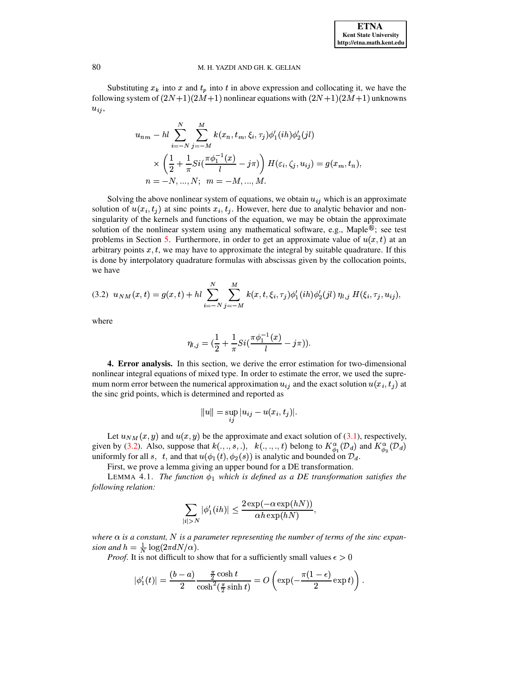Substituting  $x_k$  into x and  $t_p$  into t in above expression and collocating it, we have the following system of  $(2N+1)(2M+1)$  nonlinear equations with  $(2N+1)(2M+1)$  unknowns  $u_{ij}$ 

$$
u_{nm} - hl \sum_{i=-N}^{N} \sum_{j=-M}^{M} k(x_n, t_m, \xi_i, \tau_j) \phi_1'(ih) \phi_2'(jl)
$$
  
 
$$
\times \left(\frac{1}{2} + \frac{1}{\pi} Si(\frac{\pi \phi_1^{-1}(x)}{l} - j\pi)\right) H(\varepsilon_i, \zeta_j, u_{ij}) = g(x_m, t_n),
$$
  
\n
$$
n = -N, ..., N; \quad m = -M, ..., M.
$$

Solving the above nonlinear system of equations, we obtain  $u_{ij}$  which is an approximate solution of  $u(x_i, t_i)$  at sinc points  $x_i, t_i$ . However, here due to analytic behavior and nonsingularity of the kernels and functions of the equation, we may be obtain the approximate solution of the nonlinear system using any mathematical software, e.g., Maple $^{\circledR}$ ; see test problems in Section 5. Furthermore, in order to get an approximate value of  $u(x, t)$  at an arbitrary points  $x, t$ , we may have to approximate the integral by suitable quadrature. If this is done by interpolatory quadrature formulas with abscissas given by the collocation points, we have

<span id="page-5-1"></span>
$$
(3.2) \ u_{NM}(x,t) = g(x,t) + hl \sum_{i=-N}^{N} \sum_{j=-M}^{M} k(x,t,\xi_i,\tau_j) \phi_1'(ih) \phi_2'(jl) \eta_{i,j} H(\xi_i,\tau_j,u_{ij}),
$$

where

$$
\eta_{l,j}=(\frac{1}{2}+\frac{1}{\pi}Si(\frac{\pi\phi_{1}^{-1}(x)}{l}-j\pi))
$$

<span id="page-5-0"></span>4. Error analysis. In this section, we derive the error estimation for two-dimensional nonlinear integral equations of mixed type. In order to estimate the error, we used the supremum norm error between the numerical approximation  $u_{ij}$  and the exact solution  $u(x_i, t_j)$  at the sinc grid points, which is determined and reported as

$$
||u|| = \sup_{ij} |u_{ij} - u(x_i, t_j)|.
$$

Let  $u_{NM}(x, y)$  and  $u(x, y)$  be the approximate and exact solution of (3.1), respectively, given by (3.2). Also, suppose that  $k(.,.,s,.), k(.,.,.,t)$  belong to  $K^{\alpha}_{\phi_1}(\mathcal{D}_d)$  and  $K^{\alpha}_{\phi_2}(\mathcal{D}_d)$ uniformly for all s, t, and that  $u(\phi_1(t), \phi_2(s))$  is analytic and bounded on  $\mathcal{D}_d$ .

First, we prove a lemma giving an upper bound for a DE transformation.

<span id="page-5-2"></span>LEMMA 4.1. The function  $\phi_1$  which is defined as a DE transformation satisfies the following relation:

$$
\sum_{|i|>N} |\phi_1'(ih)| \le \frac{2 \exp(-\alpha \exp(hN))}{\alpha h \exp(hN)},
$$

where  $\alpha$  is a constant, N is a parameter representing the number of terms of the sinc expansion and  $h = \frac{1}{N} \log(2\pi dN/\alpha)$ .

*Proof.* It is not difficult to show that for a sufficiently small values  $\epsilon > 0$ 

$$
|\phi_1'(t)| = \frac{(b-a)}{2} \frac{\frac{\pi}{2} \cosh t}{\cosh^2(\frac{\pi}{2} \sinh t)} = O\left(\exp(-\frac{\pi(1-\epsilon)}{2} \exp t)\right)
$$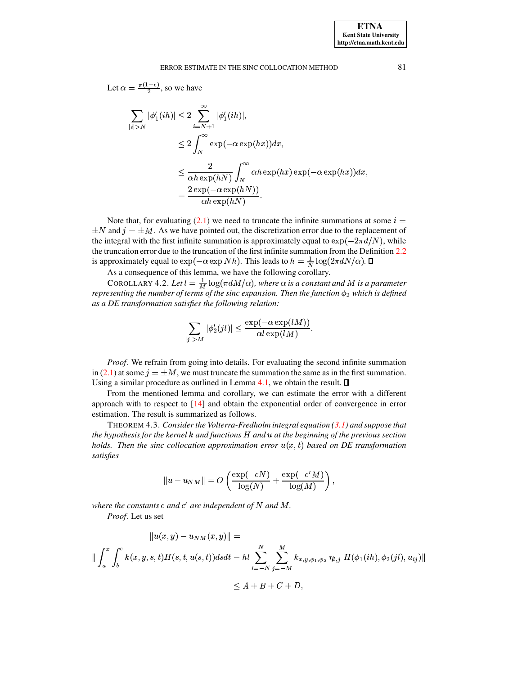Let 
$$
\alpha = \frac{\pi(1-\epsilon)}{2}
$$
, so we have

$$
\sum_{|i|>N} |\phi_1'(ih)| \le 2 \sum_{i=N+1}^{\infty} |\phi_1'(ih)|,
$$
  
\n
$$
\le 2 \int_{N}^{\infty} \exp(-\alpha \exp(hx)) dx,
$$
  
\n
$$
\le \frac{2}{\alpha h \exp(hN)} \int_{N}^{\infty} \alpha h \exp(hx) \exp(-\alpha \exp(hx)) dx,
$$
  
\n
$$
= \frac{2 \exp(-\alpha \exp(hN))}{\alpha h \exp(hN)}.
$$

Note that, for evaluating (2.1) we need to truncate the infinite summations at some  $i =$  $\pm N$  and  $i = \pm M$ . As we have pointed out, the discretization error due to the replacement of the integral with the first infinite summation is approximately equal to  $\exp(-2\pi d/N)$ , while the truncation error due to the truncation of the first infinite summation from the Definition 2.2 is approximately equal to  $\exp(-\alpha \exp Nh)$ . This leads to  $h = \frac{1}{N} \log(2\pi dN/\alpha)$ .  $\Box$ 

As a consequence of this lemma, we have the following corollary.

COROLLARY 4.2. Let  $l = \frac{1}{M} \log(\pi dM/\alpha)$ , where  $\alpha$  is a constant and M is a parameter representing the number of terms of the sinc expansion. Then the function  $\phi_2$  which is defined as a DE transformation satisfies the following relation:

$$
\sum_{|j|>M} |\phi_2'(jl)| \le \frac{\exp(-\alpha \exp(lM))}{\alpha l \exp(lM)}
$$

*Proof.* We refrain from going into details. For evaluating the second infinite summation in (2.1) at some  $j = \pm M$ , we must truncate the summation the same as in the first summation. Using a similar procedure as outlined in Lemma 4.1, we obtain the result.  $\square$ 

From the mentioned lemma and corollary, we can estimate the error with a different approach with to respect to  $[14]$  and obtain the exponential order of convergence in error estimation. The result is summarized as follows.

THEOREM 4.3. Consider the Volterra-Fredholm integral equation  $(3.1)$  and suppose that the hypothesis for the kernel  $k$  and functions  $H$  and  $u$  at the beginning of the previous section holds. Then the sinc collocation approximation error  $u(x,t)$  based on DE transformation satisfies

$$
||u - u_{NM}|| = O\left(\frac{\exp(-cN)}{\log(N)} + \frac{\exp(-c'M)}{\log(M)}\right),\,
$$

where the constants  $c$  and  $c'$  are independent of  $N$  and  $M$ .

Proof. Let us set

$$
||u(x,y) - u_{NM}(x,y)|| =
$$
  

$$
|| \int_{a}^{x} \int_{b}^{c} k(x,y,s,t)H(s,t,u(s,t))dsdt - hl \sum_{i=-N}^{N} \sum_{j=-M}^{M} k_{x,y,\phi_{1},\phi_{2}} \eta_{l,j} H(\phi_{1}(ih), \phi_{2}(jl), u_{ij})||
$$
  

$$
\leq A + B + C + D,
$$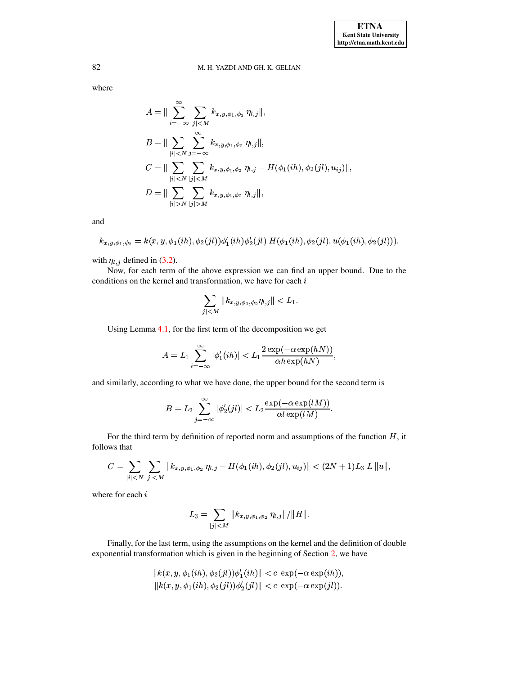where

$$
A = \|\sum_{i=-\infty}^{\infty} \sum_{|j| < M} k_{x,y,\phi_1,\phi_2} \eta_{l,j}\|,
$$
  
\n
$$
B = \|\sum_{|i| < N} \sum_{j=-\infty}^{\infty} k_{x,y,\phi_1,\phi_2} \eta_{l,j}\|,
$$
  
\n
$$
C = \|\sum_{|i| < N} \sum_{|j| < M} k_{x,y,\phi_1,\phi_2} \eta_{l,j} - H(\phi_1(ih), \phi_2(jl), u_{ij})\|,
$$
  
\n
$$
D = \|\sum_{|i| > N} \sum_{|j| > M} k_{x,y,\phi_1,\phi_2} \eta_{l,j}\|,
$$

and

$$
k_{x,y,\phi_1,\phi_2}=k(x,y,\phi_1(ih),\phi_2(jl))\phi_1'(ih)\phi_2'(jl)\ H(\phi_1(ih),\phi_2(jl),u(\phi_1(ih),\phi_2(jl))),
$$

with  $\eta_{l,j}$  defined in (3.2).

Now, for each term of the above expression we can find an upper bound. Due to the conditions on the kernel and transformation, we have for each  $i$ 

$$
\sum_{j|
$$

Using Lemma  $4.1$ , for the first term of the decomposition we get

$$
A = L_1 \sum_{i=-\infty}^{\infty} |\phi'_1(ih)| < L_1 \frac{2 \exp(-\alpha \exp(hN))}{\alpha h \exp(hN)},
$$

and similarly, according to what we have done, the upper bound for the second term is

$$
B=L_2\sum_{j=-\infty}^\infty|\phi_2'(jl)|
$$

For the third term by definition of reported norm and assumptions of the function  $H$ , it follows that

$$
C = \sum_{|i| < N} \sum_{|j| < M} \|k_{x,y,\phi_1,\phi_2} \eta_{l,j} - H(\phi_1(ih), \phi_2(jl), u_{ij})\| < (2N+1)L_3 \ L \ \|u\|,
$$

where for each i

$$
L_3 = \sum_{|j| < M} \|k_{x,y,\phi_1,\phi_2} \; \eta_{l,j} \| / \|H\|.
$$

Finally, for the last term, using the assumptions on the kernel and the definition of double exponential transformation which is given in the beginning of Section 2, we have

$$
||k(x, y, \phi_1(ih), \phi_2(jl))\phi'_1(ih)|| < c \exp(-\alpha \exp(ih)),
$$
  

$$
||k(x, y, \phi_1(ih), \phi_2(jl))\phi'_2(jl)|| < c \exp(-\alpha \exp(jl)).
$$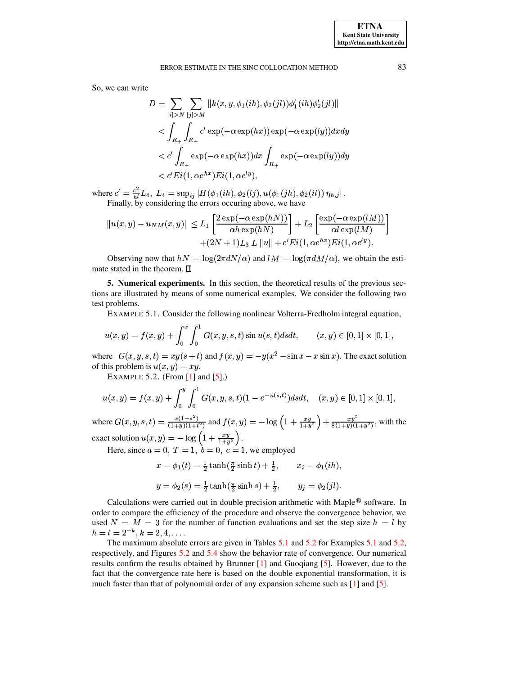So, we can write

$$
D = \sum_{|i|>N} \sum_{|j|>M} ||k(x, y, \phi_1(ih), \phi_2(jl))\phi'_1(ih)\phi'_2(jl)||
$$
  

$$
< \int_{R_+} \int_{R_+} c' \exp(-\alpha \exp(hx)) \exp(-\alpha \exp(ly)) dx dy
$$
  

$$
< c' \int_{R_+} \exp(-\alpha \exp(hx)) dx \int_{R_+} \exp(-\alpha \exp(ly)) dy
$$
  

$$
< c' \operatorname{Fi}(1, \alpha e^{hx}) \operatorname{Fi}(1, \alpha e^{ly})
$$

where  $c' = \frac{c^2}{h^l} L_4$ ,  $L_4 = \sup_{ij} |H(\phi_1(ih), \phi_2(lj), u(\phi_1(jh), \phi_2(il)) \eta_{h,j}|$ .<br>Finally, by considering the errors occuring above, we have

$$
||u(x,y) - u_{NM}(x,y)|| \le L_1 \left[ \frac{2 \exp(-\alpha \exp(hN))}{\alpha h \exp(hN)} \right] + L_2 \left[ \frac{\exp(-\alpha \exp(lM))}{\alpha l \exp(lM)} \right] + (2N+1)L_3 L ||u|| + c'Ei(1, \alpha e^{hx})Ei(1, \alpha e^{ly}).
$$

<span id="page-8-0"></span>Observing now that  $hN = \log(2\pi dN/\alpha)$  and  $lM = \log(\pi dM/\alpha)$ , we obtain the estimate stated in the theorem.  $\square$ 

<span id="page-8-1"></span>**5. Numerical experiments.** In this section, the theoretical results of the previous sections are illustrated by means of some numerical examples. We consider the following two test problems.

EXAMPLE 5.1. Consider the following nonlinear Volterra-Fredholm integral equation,

$$
u(x,y) = f(x,y) + \int_0^x \int_0^1 G(x,y,s,t) \sin u(s,t) ds dt, \qquad (x,y) \in [0,1] \times [0,1],
$$

where  $G(x, y, s, t) = xy(s + t)$  and  $f(x, y) = -y(x^2 - \sin x - x \sin x)$ . The exact solution of this problem is  $u(x, y) = xy$ .

<span id="page-8-2"></span>EXAMPLE 5.2. (From  $[1]$  and  $[5]$ .)

$$
u(x,y) = f(x,y) + \int_0^y \int_0^1 G(x,y,s,t)(1 - e^{-u(s,t)})dsdt, \quad (x,y) \in [0,1] \times [0,1],
$$

where  $G(x, y, s, t) = \frac{x(1-s^2)}{(1+y)(1+t^2)}$  and  $f(x, y) = -\log\left(1 + \frac{xy}{1+y^2}\right) + \frac{xy^2}{8(1+y)(1+y^2)}$ , with the exact solution  $u(x, y) = -\log\left(1 + \frac{xy}{1+y^2}\right)$ .<br>Here, since  $a = 0, T = 1, b = 0, c = 1$ , we employed

$$
x = \phi_1(t) = \frac{1}{2} \tanh(\frac{\pi}{2} \sinh t) + \frac{1}{2}, \qquad x_i = \phi_1(ih),
$$
  

$$
y = \phi_2(s) = \frac{1}{2} \tanh(\frac{\pi}{2} \sinh s) + \frac{1}{2}, \qquad y_j = \phi_2(jl).
$$

Calculations were carried out in double precision arithmetic with Maple® software. In order to compare the efficiency of the procedure and observe the convergence behavior, we used  $N = M = 3$  for the number of function evaluations and set the step size  $h = l$  by  $h = l = 2^{-k}, k = 2, 4, \ldots$ 

The maximum absolute errors are given in Tables 5.1 and 5.2 for Examples 5.1 and 5.2, respectively, and Figures 5.2 and 5.4 show the behavior rate of convergence. Our numerical results confirm the results obtained by Brunner [1] and Guogiang [5]. However, due to the fact that the convergence rate here is based on the double exponential transformation, it is much faster than that of polynomial order of any expansion scheme such as [1] and [5].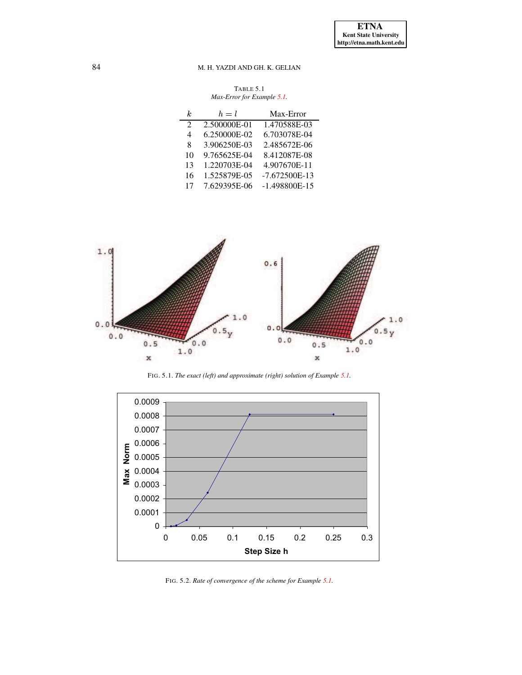TABLE 5.1 *Max-Error for Example [5.1.](#page-8-1)*

<span id="page-9-0"></span>

| k.                          | $h=l$        | Max-Error       |
|-----------------------------|--------------|-----------------|
| $\mathcal{D}_{\mathcal{L}}$ | 2.500000E-01 | 1.470588E-03    |
| 4                           | 6.250000E-02 | 6.703078E-04    |
| 8                           | 3.906250E-03 | 2.485672E-06    |
| 10                          | 9.765625E-04 | 8.412087E-08    |
| 13                          | 1.220703E-04 | 4.907670E-11    |
| 16                          | 1.525879E-05 | $-7.672500E-13$ |
| 17                          | 7.629395E-06 | $-1.498800E-15$ |



FIG. 5.1. *The exact (left) and approximate (right) solution of Example [5.1.](#page-8-1)*



<span id="page-9-1"></span>FIG. 5.2. *Rate of convergence of the scheme for Example [5.1.](#page-8-1)*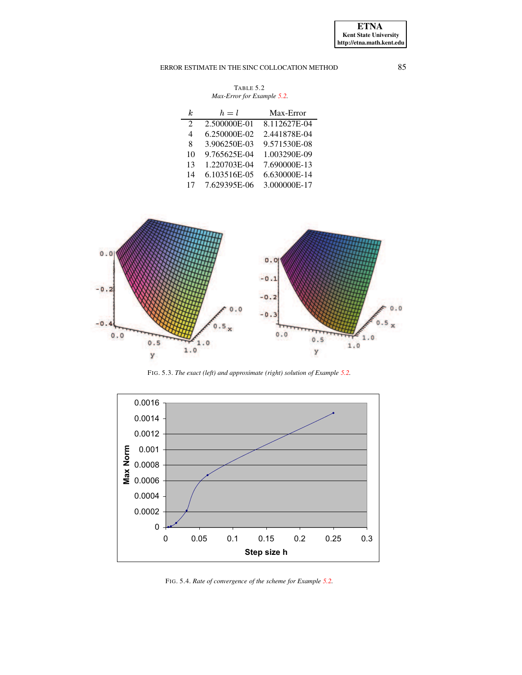# ERROR ESTIMATE IN THE SINC COLLOCATION METHOD 85

| TABLE 5.2                  |  |
|----------------------------|--|
| Max-Error for Example 5.2. |  |

<span id="page-10-0"></span>

| k.                          | $h=l$        | Max-Error    |
|-----------------------------|--------------|--------------|
| $\mathcal{D}_{\mathcal{L}}$ | 2.500000E-01 | 8.112627E-04 |
| 4                           | 6.250000E-02 | 2.441878E-04 |
| 8                           | 3.906250E-03 | 9.571530E-08 |
| 10                          | 9.765625E-04 | 1.003290E-09 |
| 13                          | 1.220703E-04 | 7.690000E-13 |
| 14                          | 6.103516E-05 | 6.630000E-14 |
| 17                          | 7.629395E-06 | 3.000000E-17 |



FIG. 5.3. *The exact (left) and approximate (right) solution of Example [5.2.](#page-8-2)*



<span id="page-10-1"></span>FIG. 5.4. *Rate of convergence of the scheme for Example [5.2.](#page-8-2)*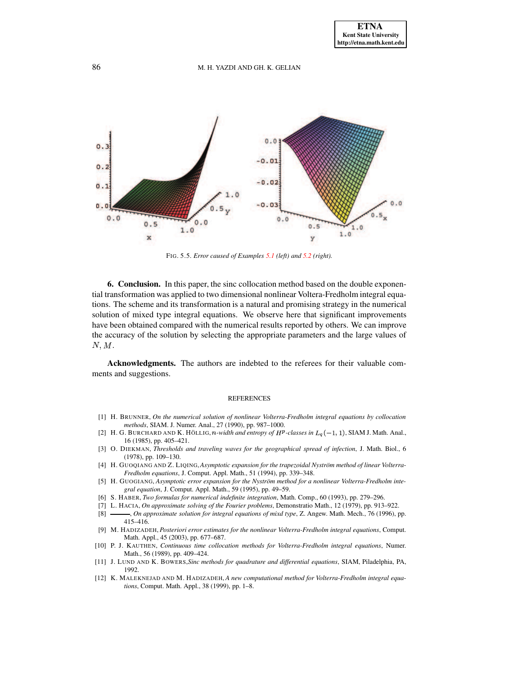

FIG. 5.5. *Error caused of Examples [5.1](#page-8-1) (left) and [5.2](#page-8-2) (right).*

**6. Conclusion.** In this paper, the sinc collocation method based on the double exponential transformation was applied to two dimensional nonlinear Voltera-Fredholm integral equations. The scheme and its transformation is a natural and promising strategy in the numerical solution of mixed type integral equations. We observe here that significant improvements have been obtained compared with the numerical results reported by others. We can improve the accuracy of the solution by selecting the appropriate parameters and the large values of  $N, M$ .

**Acknowledgments.** The authors are indebted to the referees for their valuable comments and suggestions.

## **REFERENCES**

- <span id="page-11-5"></span>[1] H. BRUNNER, *On the numerical solution of nonlinear Volterra-Fredholm integral equations by collocation methods*, SIAM. J. Numer. Anal., 27 (1990), pp. 987–1000.
- <span id="page-11-9"></span><span id="page-11-0"></span>[2] H. G. BURCHARD AND K. HÖLLIG, n-width and entropy of  $H^p$ -classes in  $L_q(-1, 1)$ , SIAM J. Math. Anal., 16 (1985), pp. 405–421.
- [3] O. DIEKMAN, *Thresholds and traveling waves for the geographical spread of infection*, J. Math. Biol., 6 (1978), pp. 109–130.
- <span id="page-11-4"></span>[4] H. GUOQIANG AND Z. LIQING,*Asymptotic expansion for the trapezoidal Nystrom¨ method of linear Volterra-Fredholm equations*, J. Comput. Appl. Math., 51 (1994), pp. 339–348.
- <span id="page-11-6"></span>[5] H. GUOGIANG, *Asymptotic error expansion for the Nystrom¨ method for a nonlinear Volterra-Fredholm integral equation*, J. Comput. Appl. Math., 59 (1995), pp. 49–59.
- <span id="page-11-2"></span>[6] S. HABER, *Two formulas for numerical indefinite integration*, Math. Comp., 60 (1993), pp. 279–296.
- [7] L. HACIA, *On approximate solving of the Fourier problems*, Demonstratio Math., 12 (1979), pp. 913–922.
- <span id="page-11-1"></span>[8] , *On approximate solution for integral equations of mixd type*, Z. Angew. Math. Mech., 76 (1996), pp. 415–416.
- [9] M. HADIZADEH, *Posteriori error estimates for the nonlinear Volterra-Fredholm integral equations*, Comput. Math. Appl., 45 (2003), pp. 677–687.
- <span id="page-11-3"></span>[10] P. J. KAUTHEN, *Continuous time collocation methods for Volterra-Fredholm integral equations*, Numer. Math., 56 (1989), pp. 409–424.
- <span id="page-11-8"></span>[11] J. LUND AND K. BOWERS,*Sinc methods for quadrature and differential equations*, SIAM, Piladelphia, PA, 1992.
- <span id="page-11-7"></span>[12] K. MALEKNEJAD AND M. HADIZADEH, *A new computational method for Volterra-Fredholm integral equations*, Comput. Math. Appl., 38 (1999), pp. 1–8.